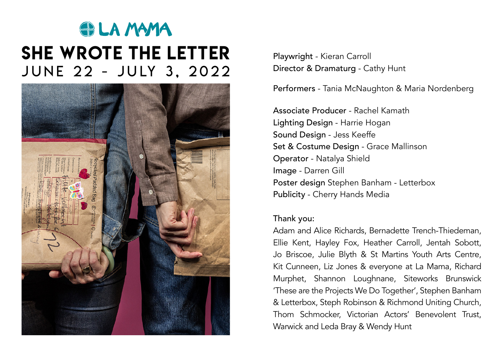## **SILA MAMA** she wrote the letter JUNE 22 - JULY 3, 2022



Playwright - Kieran Carroll Director & Dramaturg - Cathy Hunt

Performers - Tania McNaughton & Maria Nordenberg

Associate Producer - Rachel Kamath Lighting Design - Harrie Hogan Sound Design - Jess Keeffe Set & Costume Design - Grace Mallinson Operator - Natalya Shield Image - Darren Gill Poster design Stephen Banham - Letterbox Publicity - Cherry Hands Media

## Thank you:

Adam and Alice Richards, Bernadette Trench-Thiedeman, Ellie Kent, Hayley Fox, Heather Carroll, Jentah Sobott, Jo Briscoe, Julie Blyth & St Martins Youth Arts Centre, Kit Cunneen, Liz Jones & everyone at La Mama, Richard Murphet, Shannon Loughnane, Siteworks Brunswick 'These are the Projects We Do Together', Stephen Banham & Letterbox, Steph Robinson & Richmond Uniting Church, Thom Schmocker, Victorian Actors' Benevolent Trust, Warwick and Leda Bray & Wendy Hunt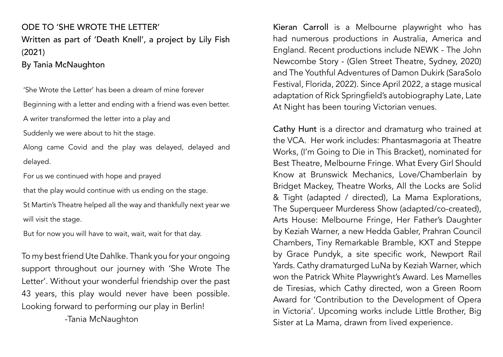## ODE TO 'SHE WROTE THE LETTER' Written as part of 'Death Knell', a project by Lily Fish (2021) By Tania McNaughton

'She Wrote the Letter' has been a dream of mine forever

Beginning with a letter and ending with a friend was even better.

A writer transformed the letter into a play and

Suddenly we were about to hit the stage.

Along came Covid and the play was delayed, delayed and delayed.

For us we continued with hope and prayed

that the play would continue with us ending on the stage.

St Martin's Theatre helped all the way and thankfully next year we will visit the stage.

But for now you will have to wait, wait, wait for that day.

To my best friend Ute Dahlke. Thank you for your ongoing support throughout our journey with 'She Wrote The Letter'. Without your wonderful friendship over the past 43 years, this play would never have been possible. Looking forward to performing our play in Berlin!

-Tania McNaughton

Kieran Carroll is a Melbourne playwright who has had numerous productions in Australia, America and England. Recent productions include NEWK - The John Newcombe Story - (Glen Street Theatre, Sydney, 2020) and The Youthful Adventures of Damon Dukirk (SaraSolo Festival, Florida, 2022). Since April 2022, a stage musical adaptation of Rick Springfield's autobiography Late, Late At Night has been touring Victorian venues.

Cathy Hunt is a director and dramaturg who trained at the VCA. Her work includes: Phantasmagoria at Theatre Works, (I'm Going to Die in This Bracket), nominated for Best Theatre, Melbourne Fringe. What Every Girl Should Know at Brunswick Mechanics, Love/Chamberlain by Bridget Mackey, Theatre Works, All the Locks are Solid & Tight (adapted / directed), La Mama Explorations, The Superqueer Murderess Show (adapted/co-created), Arts House: Melbourne Fringe, Her Father's Daughter by Keziah Warner, a new Hedda Gabler, Prahran Council Chambers, Tiny Remarkable Bramble, KXT and Steppe by Grace Pundyk, a site specific work, Newport Rail Yards. Cathy dramaturged LuNa by Keziah Warner, which won the Patrick White Playwright's Award. Les Mamelles de Tiresias, which Cathy directed, won a Green Room Award for 'Contribution to the Development of Opera in Victoria'. Upcoming works include Little Brother, Big Sister at La Mama, drawn from lived experience.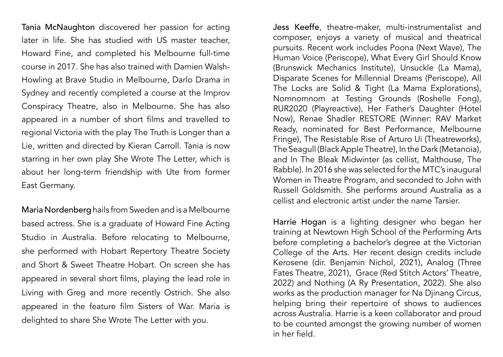Tania McNaughton discovered her passion for acting later in life. She has studied with US master teacher, Howard Fine, and completed his Melbourne full-time course in 2017. She has also trained with Damien Walsh-Howling at Brave Studio in Melbourne, Darlo Drama in Sydney and recently completed a course at the Improv Conspiracy Theatre, also in Melbourne. She has also appeared in a number of short films and travelled to regional Victoria with the play The Truth is Longer than a Lie, written and directed by Kieran Carroll. Tania is now starring in her own play She Wrote The Letter, which is about her long-term friendship with Ute from former East Germany.

Maria Nordenberg hails from Sweden and is a Melbourne based actress. She is a graduate of Howard Fine Acting Studio in Australia. Before relocating to Melbourne, she performed with Hobart Repertory Theatre Society and Short & Sweet Theatre Hobart. On screen she has appeared in several short films, playing the lead role in Living with Greg and more recently Ostrich. She also appeared in the feature film Sisters of War. Maria is delighted to share She Wrote The Letter with you.

Jess Keeffe, theatre-maker, multi-instrumentalist and composer, enjoys a variety of musical and theatrical pursuits. Recent work includes Poona (Next Wave), The Human Voice (Periscope), What Every Girl Should Know (Brunswick Mechanics Institute), Unsuckle (La Mama), Disparate Scenes for Millennial Dreams (Periscope), All The Locks are Solid & Tight (La Mama Explorations), Nomnomnom at Testing Grounds (Roshelle Fong), RUR2020 (Playreactive), Her Father's Daughter (Hotel Now), Renae Shadler RESTORE (Winner: RAV Market Ready, nominated for Best Performance, Melbourne Fringe), The Resistable Rise of Arturo Ui (Theatreworks), The Seagull (Black Apple Theatre), In the Dark (Metanoia), and In The Bleak Midwinter (as cellist, Malthouse, The Rabble). In 2016 she was selected for the MTC's inaugural Women in Theatre Program, and seconded to John with Russell Goldsmith. She performs around Australia as a cellist and electronic artist under the name Tarsier.

Harrie Hogan is a lighting designer who began her training at Newtown High School of the Performing Arts before completing a bachelor's degree at the Victorian College of the Arts. Her recent design credits include Kerosene (dir. Benjamin Nichol, 2021), Analog (Three Fates Theatre, 2021), Grace (Red Stitch Actors' Theatre, 2022) and Nothing (A Ry Presentation, 2022). She also works as the production manager for Na Djinang Circus, helping bring their repertoire of shows to audiences across Australia. Harrie is a keen collaborator and proud to be counted amongst the growing number of women in her field.